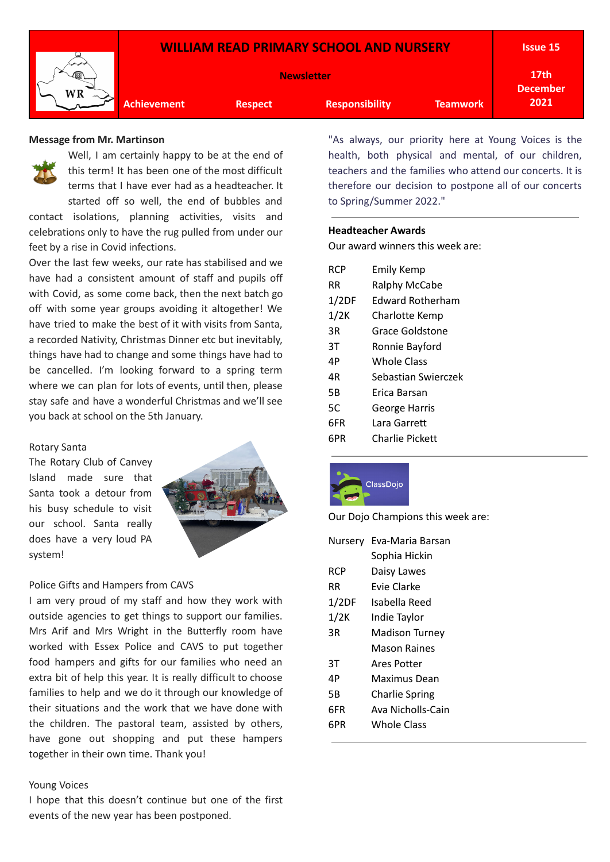

#### **Message from Mr. Martinson**



Well, I am certainly happy to be at the end of this term! It has been one of the most difficult terms that I have ever had as a headteacher. It started off so well, the end of bubbles and contact isolations, planning activities, visits and celebrations only to have the rug pulled from under our feet by a rise in Covid infections.

Over the last few weeks, our rate has stabilised and we have had a consistent amount of staff and pupils off with Covid, as some come back, then the next batch go off with some year groups avoiding it altogether! We have tried to make the best of it with visits from Santa, a recorded Nativity, Christmas Dinner etc but inevitably, things have had to change and some things have had to be cancelled. I'm looking forward to a spring term where we can plan for lots of events, until then, please stay safe and have a wonderful Christmas and we'll see you back at school on the 5th January.

#### Rotary Santa

The Rotary Club of Canvey Island made sure that Santa took a detour from his busy schedule to visit our school. Santa really does have a very loud PA system!



# Police Gifts and Hampers from CAVS

I am very proud of my staff and how they work with outside agencies to get things to support our families. Mrs Arif and Mrs Wright in the Butterfly room have worked with Essex Police and CAVS to put together food hampers and gifts for our families who need an extra bit of help this year. It is really difficult to choose families to help and we do it through our knowledge of their situations and the work that we have done with the children. The pastoral team, assisted by others, have gone out shopping and put these hampers together in their own time. Thank you!

# Young Voices

I hope that this doesn't continue but one of the first events of the new year has been postponed.

"As always, our priority here at Young Voices is the health, both physical and mental, of our children, teachers and the families who attend our concerts. It is therefore our decision to postpone all of our concerts to Spring/Summer 2022."

#### **Headteacher Awards**

Our award winners this week are:

| <b>RCP</b> | Emily Kemp              |
|------------|-------------------------|
| RR         | <b>Ralphy McCabe</b>    |
| 1/2DF      | <b>Fdward Rotherham</b> |
| 1/2K       | Charlotte Kemp          |
| 3R         | Grace Goldstone         |
| 3T         | Ronnie Bayford          |
| 4Р         | Whole Class             |
| 4R         | Sebastian Swierczek     |
| 5Β         | Frica Barsan            |
| 5C         | George Harris           |
| 6FR        | Lara Garrett            |
| 6PR        | Charlie Pickett         |



Our Dojo Champions this week are:

| Nursery | Eva-Maria Barsan      |  |  |
|---------|-----------------------|--|--|
|         | Sophia Hickin         |  |  |
| RCP     | Daisy Lawes           |  |  |
| RR      | Fvie Clarke           |  |  |
| 1/2DF   | Isabella Reed         |  |  |
| 1/2K    | Indie Taylor          |  |  |
| 3R      | <b>Madison Turney</b> |  |  |
|         | Mason Raines          |  |  |
| 3T      | Ares Potter           |  |  |
| 4Р      | Maximus Dean          |  |  |
| 5Β      | <b>Charlie Spring</b> |  |  |
| 6FR     | Ava Nicholls-Cain     |  |  |
| 6PR     | Whole Class           |  |  |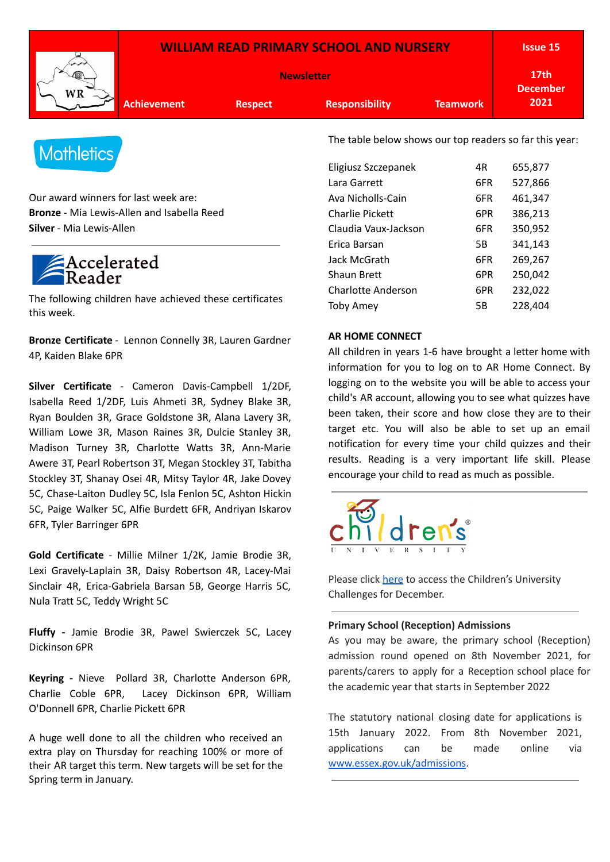| <b>WILLIAM READ PRIMARY SCHOOL AND NURSERY</b> |                |                       | <b>Issue 15</b>                     |      |
|------------------------------------------------|----------------|-----------------------|-------------------------------------|------|
| <b>Newsletter</b>                              |                |                       | 17 <sub>th</sub><br><b>December</b> |      |
| <b>Achievement</b>                             | <b>Respect</b> | <b>Responsibility</b> | <b>Teamwork</b>                     | 2021 |



Our award winners for last week are: **Bronze** - Mia Lewis-Allen and Isabella Reed **Silver** - Mia Lewis-Allen

# Accelerated

The following children have achieved these certificates this week.

**Bronze Certificate** - Lennon Connelly 3R, Lauren Gardner 4P, Kaiden Blake 6PR

**Silver Certificate** - Cameron Davis-Campbell 1/2DF, Isabella Reed 1/2DF, Luis Ahmeti 3R, Sydney Blake 3R, Ryan Boulden 3R, Grace Goldstone 3R, Alana Lavery 3R, William Lowe 3R, Mason Raines 3R, Dulcie Stanley 3R, Madison Turney 3R, Charlotte Watts 3R, Ann-Marie Awere 3T, Pearl Robertson 3T, Megan Stockley 3T, Tabitha Stockley 3T, Shanay Osei 4R, Mitsy Taylor 4R, Jake Dovey 5C, Chase-Laiton Dudley 5C, Isla Fenlon 5C, Ashton Hickin 5C, Paige Walker 5C, Alfie Burdett 6FR, Andriyan Iskarov 6FR, Tyler Barringer 6PR

**Gold Certificate** - Millie Milner 1/2K, Jamie Brodie 3R, Lexi Gravely-Laplain 3R, Daisy Robertson 4R, Lacey-Mai Sinclair 4R, Erica-Gabriela Barsan 5B, George Harris 5C, Nula Tratt 5C, Teddy Wright 5C

**Fluffy -** Jamie Brodie 3R, Pawel Swierczek 5C, Lacey Dickinson 6PR

**Keyring -** Nieve Pollard 3R, Charlotte Anderson 6PR, Charlie Coble 6PR, Lacey Dickinson 6PR, William O'Donnell 6PR, Charlie Pickett 6PR

A huge well done to all the children who received an extra play on Thursday for reaching 100% or more of their AR target this term. New targets will be set for the Spring term in January.

The table below shows our top readers so far this year:

| Eligiusz Szczepanek       | 4R  | 655,877 |
|---------------------------|-----|---------|
| Lara Garrett              | 6FR | 527,866 |
| Ava Nicholls-Cain         | 6FR | 461,347 |
| Charlie Pickett           | 6PR | 386,213 |
| Claudia Vaux-Jackson      | 6FR | 350,952 |
| Erica Barsan              | 5B  | 341,143 |
| Jack McGrath              | 6FR | 269,267 |
| Shaun Brett               | 6PR | 250,042 |
| <b>Charlotte Anderson</b> | 6PR | 232,022 |
| <b>Toby Amey</b>          | 5Β  | 228.404 |

# **AR HOME CONNECT**

All children in years 1-6 have brought a letter home with information for you to log on to AR Home Connect. By logging on to the website you will be able to access your child's AR account, allowing you to see what quizzes have been taken, their score and how close they are to their target etc. You will also be able to set up an email notification for every time your child quizzes and their results. Reading is a very important life skill. Please encourage your child to read as much as possible.



Please click [here](https://drive.google.com/file/d/1KAlZsyhm_SCONGTUUQl1B2HkIY29hkCB/view?usp=sharing) to access the Children's University Challenges for December.

### **Primary School (Reception) Admissions**

As you may be aware, the primary school (Reception) admission round opened on 8th November 2021, for parents/carers to apply for a Reception school place for the academic year that starts in September 2022

The statutory national closing date for applications is 15th January 2022. From 8th November 2021, applications can be made online via [www.essex.gov.uk/admissions](https://eur02.safelinks.protection.outlook.com/?url=http%3A%2F%2Fwww.essex.gov.uk%2Fadmissions&data=02%7C01%7C%7C8f43dbc271a240fad7c908d865f65d02%7Ca8b4324f155c4215a0f17ed8cc9a992f%7C0%7C0%7C637371456074338329&sdata=RFWNgOFXo%2BnNr2xRGJ%2B9F%2FDGt6bHQKfXltgj0d0laCo%3D&reserved=0).